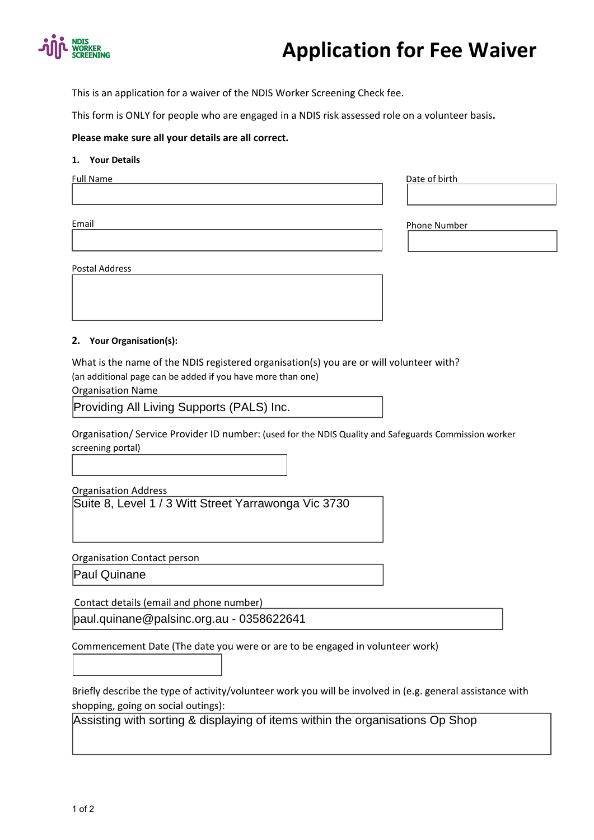

# **Application for Fee Waiver**

This is an application for a waiver of the NDIS Worker Screening Check fee.

This form is ONLY for people who are engaged in a NDIS risk assessed role on a volunteer basis**.**

## **Please make sure all your details are all correct.**

#### **1. Your Details**

| Full Name | Date of birth       |
|-----------|---------------------|
| Email     | <b>Phone Number</b> |

Postal Address

**2. Your Organisation(s):**

What is the name of the NDIS registered organisation(s) you are or will volunteer with? (an additional page can be added if you have more than one)

Organisation Name

Providing All Living Supports (PALS) Inc.

Organisation/ Service Provider ID number: (used for the NDIS Quality and Safeguards Commission worker screening portal)

Organisation Address

Suite 8, Level 1 / 3 Witt Street Yarrawonga Vic 3730

Organisation Contact person

Paul Quinane

Contact details (email and phone number)

paul.quinane@palsinc.org.au - 0358622641

Commencement Date (The date you were or are to be engaged in volunteer work)

Briefly describe the type of activity/volunteer work you will be involved in (e.g. general assistance with shopping, going on social outings):

Assisting with sorting & displaying of items within the organisations Op Shop